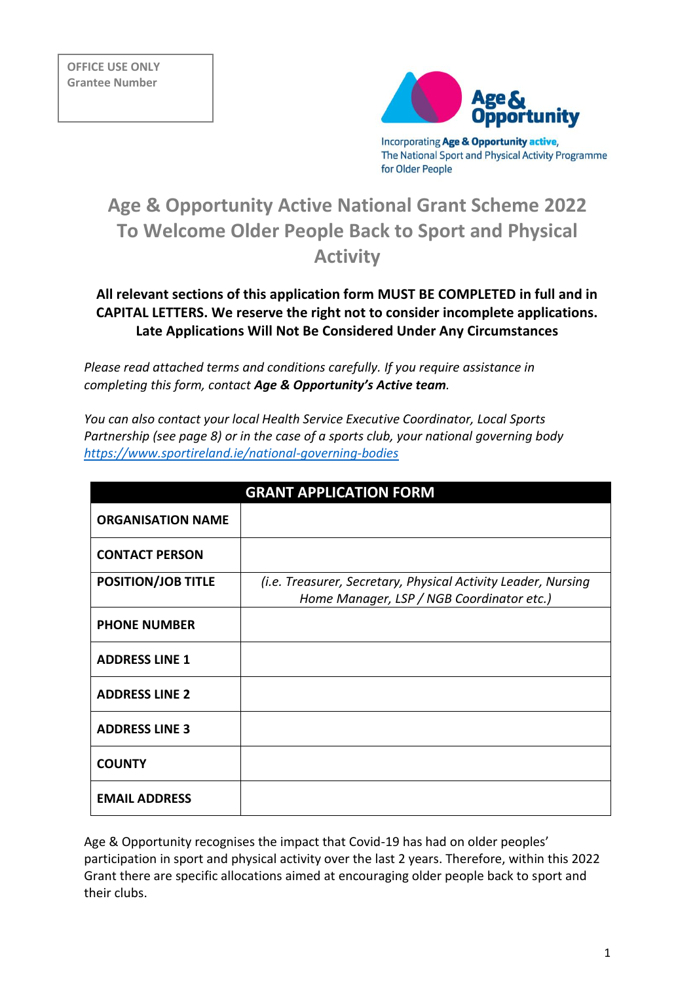

Incorporating Age & Opportunity active, The National Sport and Physical Activity Programme for Older People

# **Age & Opportunity Active National Grant Scheme 2022 To Welcome Older People Back to Sport and Physical Activity**

# **All relevant sections of this application form MUST BE COMPLETED in full and in CAPITAL LETTERS. We reserve the right not to consider incomplete applications. Late Applications Will Not Be Considered Under Any Circumstances**

*Please read attached terms and conditions carefully. If you require assistance in completing this form, contact Age & Opportunity's Active team.* 

*You can also contact your local Health Service Executive Coordinator, Local Sports Partnership (see page 8) or in the case of a sports club, your national governing body <https://www.sportireland.ie/national-governing-bodies>*

|                           | <b>GRANT APPLICATION FORM</b>                                                                              |
|---------------------------|------------------------------------------------------------------------------------------------------------|
| <b>ORGANISATION NAME</b>  |                                                                                                            |
| <b>CONTACT PERSON</b>     |                                                                                                            |
| <b>POSITION/JOB TITLE</b> | (i.e. Treasurer, Secretary, Physical Activity Leader, Nursing<br>Home Manager, LSP / NGB Coordinator etc.) |
| <b>PHONE NUMBER</b>       |                                                                                                            |
| <b>ADDRESS LINE 1</b>     |                                                                                                            |
| <b>ADDRESS LINE 2</b>     |                                                                                                            |
| <b>ADDRESS LINE 3</b>     |                                                                                                            |
| <b>COUNTY</b>             |                                                                                                            |
| <b>EMAIL ADDRESS</b>      |                                                                                                            |

Age & Opportunity recognises the impact that Covid-19 has had on older peoples' participation in sport and physical activity over the last 2 years. Therefore, within this 2022 Grant there are specific allocations aimed at encouraging older people back to sport and their clubs.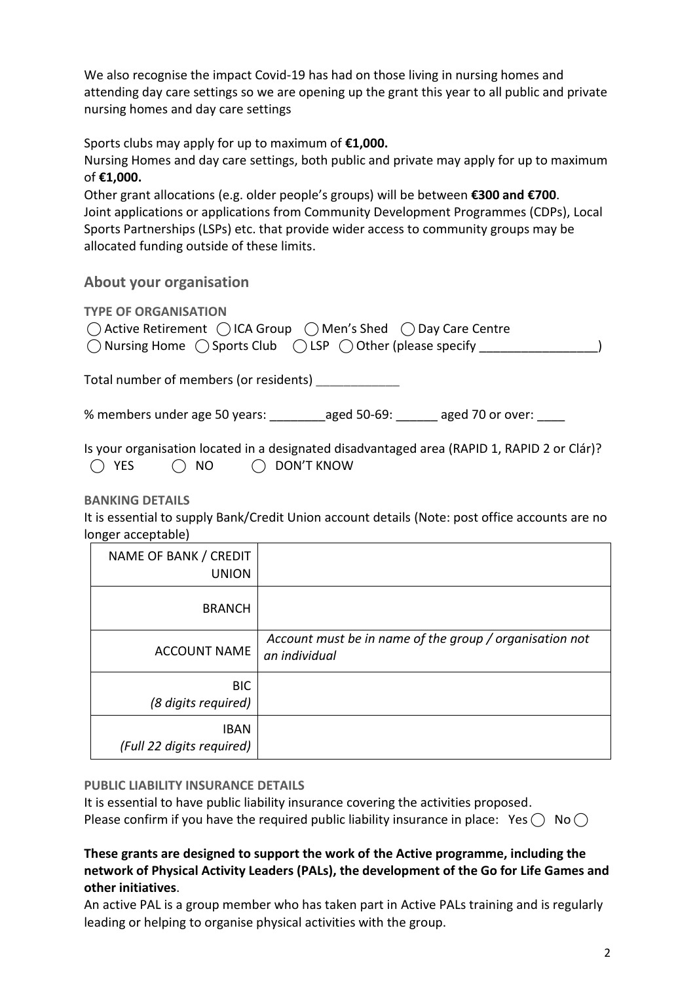We also recognise the impact Covid-19 has had on those living in nursing homes and attending day care settings so we are opening up the grant this year to all public and private nursing homes and day care settings

Sports clubs may apply for up to maximum of **€1,000.**

Nursing Homes and day care settings, both public and private may apply for up to maximum of **€1,000.**

Other grant allocations (e.g. older people's groups) will be between **€300 and €700**. Joint applications or applications from Community Development Programmes (CDPs), Local Sports Partnerships (LSPs) etc. that provide wider access to community groups may be allocated funding outside of these limits.

# **About your organisation**

**TYPE OF ORGANISATION** 

|                                                                                                | $\bigcap$ Active Retirement $\bigcap$ ICA Group $\bigcap$ Men's Shed $\bigcap$ Day Care Centre |
|------------------------------------------------------------------------------------------------|------------------------------------------------------------------------------------------------|
| $\bigcirc$ Nursing Home $\bigcirc$ Sports Club $\bigcirc$ LSP $\bigcirc$ Other (please specify |                                                                                                |

Total number of members (or residents) **\_\_\_\_\_\_\_\_\_\_\_\_** 

% members under age 50 years: aged 50-69: aged 70 or over:

Is your organisation located in a designated disadvantaged area (RAPID 1, RAPID 2 or Clár)?  $\bigcap$  YES  $\bigcap$  NO  $\bigcap$  DON'T KNOW

**BANKING DETAILS** 

It is essential to supply Bank/Credit Union account details (Note: post office accounts are no longer acceptable)

| NAME OF BANK / CREDIT<br><b>UNION</b>    |                                                                          |
|------------------------------------------|--------------------------------------------------------------------------|
| <b>BRANCH</b>                            |                                                                          |
| <b>ACCOUNT NAME</b>                      | Account must be in name of the group / organisation not<br>an individual |
| <b>BIC</b><br>(8 digits required)        |                                                                          |
| <b>IBAN</b><br>(Full 22 digits required) |                                                                          |

#### **PUBLIC LIABILITY INSURANCE DETAILS**

It is essential to have public liability insurance covering the activities proposed. Please confirm if you have the required public liability insurance in place: Yes  $\bigcirc$  No  $\bigcirc$ 

# **These grants are designed to support the work of the Active programme, including the network of Physical Activity Leaders (PALs), the development of the Go for Life Games and other initiatives**.

An active PAL is a group member who has taken part in Active PALs training and is regularly leading or helping to organise physical activities with the group.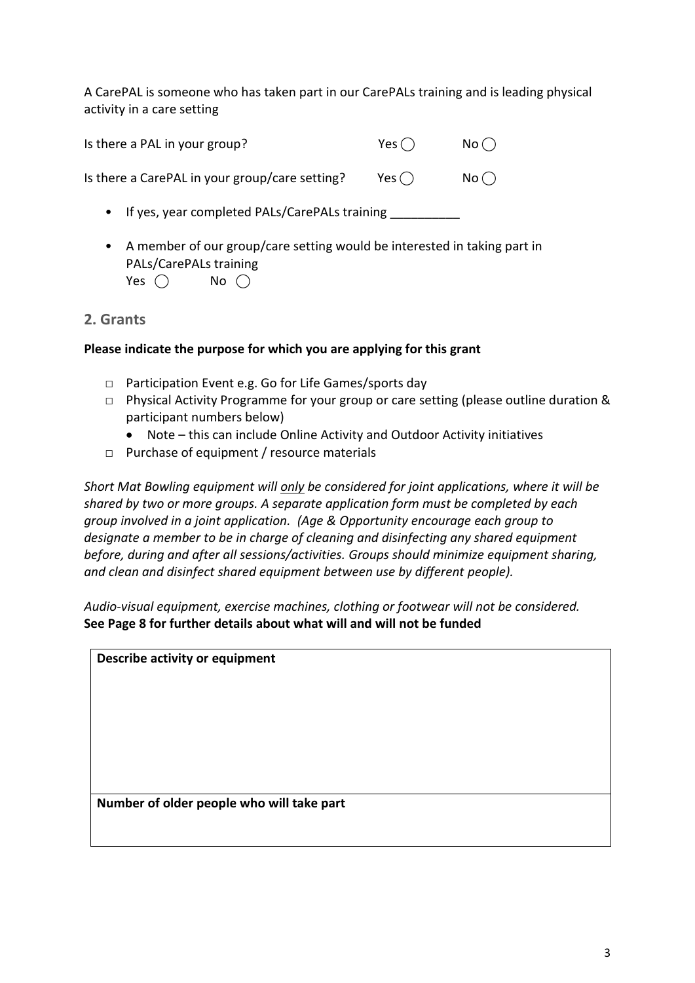A CarePAL is someone who has taken part in our CarePALs training and is leading physical activity in a care setting

| Is there a PAL in your group?                  | Yes $\bigcap$ | No() |
|------------------------------------------------|---------------|------|
| Is there a CarePAL in your group/care setting? | Yes $( )$     | No() |

- If yes, year completed PALs/CarePALs training
- A member of our group/care setting would be interested in taking part in PALs/CarePALs training Yes  $\bigcap$  No  $\bigcap$

## **2. Grants**

#### **Please indicate the purpose for which you are applying for this grant**

- □ Participation Event e.g. Go for Life Games/sports day
- □ Physical Activity Programme for your group or care setting (please outline duration & participant numbers below)
	- Note this can include Online Activity and Outdoor Activity initiatives
- □ Purchase of equipment / resource materials

*Short Mat Bowling equipment will only be considered for joint applications, where it will be shared by two or more groups. A separate application form must be completed by each group involved in a joint application. (Age & Opportunity encourage each group to designate a member to be in charge of cleaning and disinfecting any shared equipment before, during and after all sessions/activities. Groups should minimize equipment sharing, and clean and disinfect shared equipment between use by different people).*

*Audio-visual equipment, exercise machines, clothing or footwear will not be considered.*  **See Page 8 for further details about what will and will not be funded**

| <b>Describe activity or equipment</b>     |  |  |
|-------------------------------------------|--|--|
|                                           |  |  |
|                                           |  |  |
|                                           |  |  |
|                                           |  |  |
|                                           |  |  |
| Number of older people who will take part |  |  |
|                                           |  |  |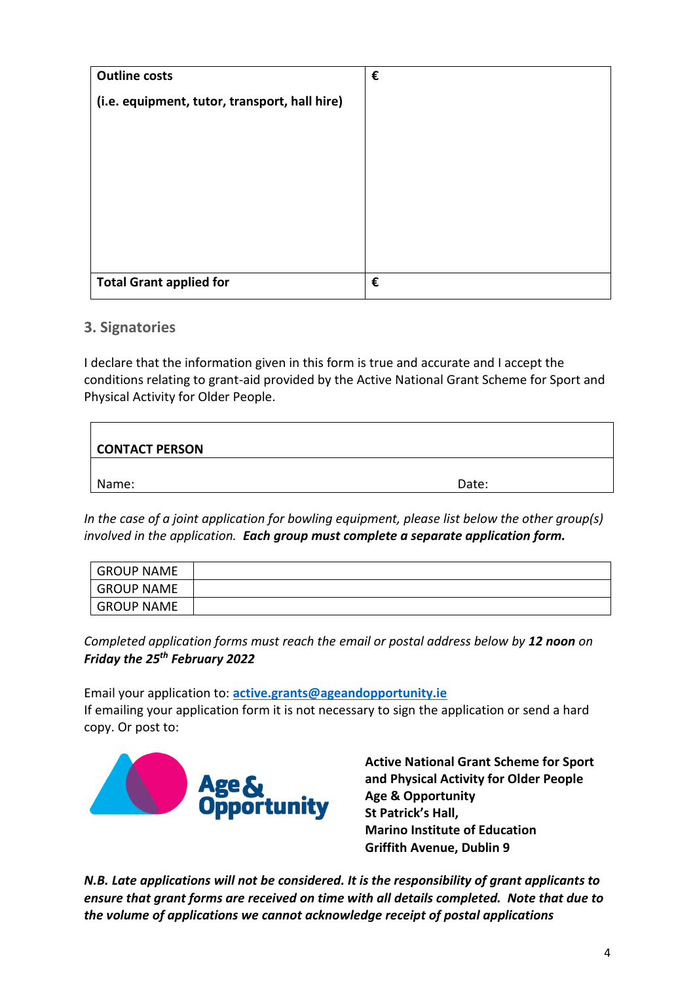| <b>Outline costs</b>                          | € |
|-----------------------------------------------|---|
| (i.e. equipment, tutor, transport, hall hire) |   |
|                                               |   |
|                                               |   |
|                                               |   |
|                                               |   |
|                                               |   |
|                                               |   |
|                                               |   |
| <b>Total Grant applied for</b>                | € |

## **3. Signatories**

I declare that the information given in this form is true and accurate and I accept the conditions relating to grant-aid provided by the Active National Grant Scheme for Sport and Physical Activity for Older People.

| <b>CONTACT PERSON</b> |       |
|-----------------------|-------|
| Name:                 | Date: |

*In the case of a joint application for bowling equipment, please list below the other group(s) involved in the application. Each group must complete a separate application form.*

| <b>GROUP NAME</b> |  |
|-------------------|--|
| GROUP NAME        |  |
| <b>GROUP NAME</b> |  |

*Completed application forms must reach the email or postal address below by 12 noon on Friday the 25th February 2022*

Email your application to: **[active.grants@ageandopportunity.ie](mailto:active.grants@ageandopportunity.ie)** If emailing your application form it is not necessary to sign the application or send a hard copy. Or post to:



**Active National Grant Scheme for Sport and Physical Activity for Older People Age & Opportunity St Patrick's Hall, Marino Institute of Education Griffith Avenue, Dublin 9**

*N.B. Late applications will not be considered. It is the responsibility of grant applicants to ensure that grant forms are received on time with all details completed. Note that due to the volume of applications we cannot acknowledge receipt of postal applications*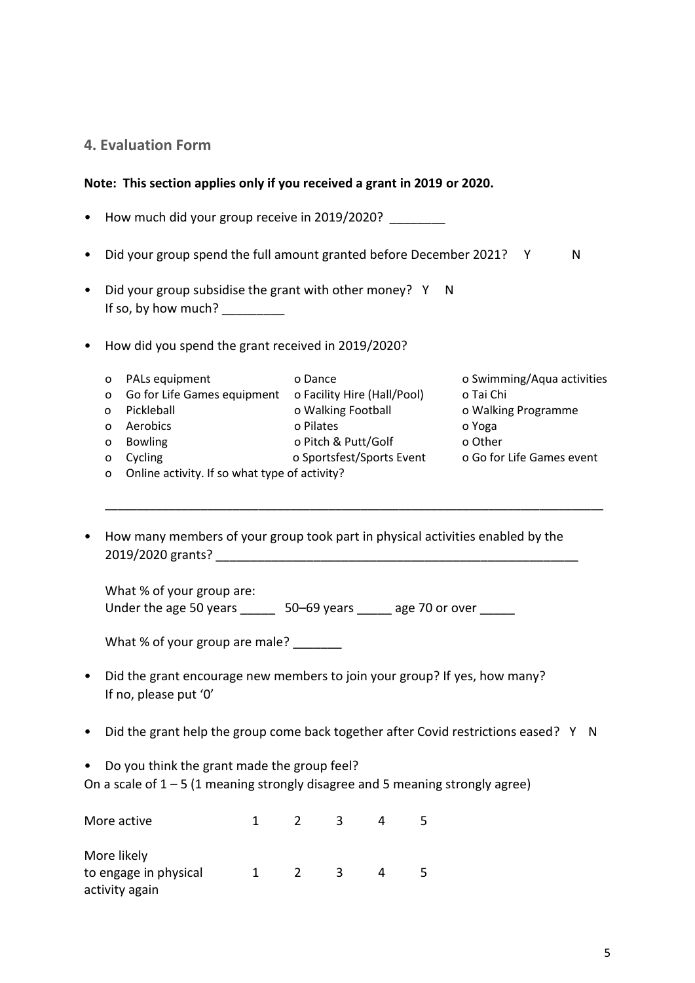## **4. Evaluation Form**

#### **Note: This section applies only if you received a grant in 2019 or 2020.**

- How much did your group receive in 2019/2020?
- Did your group spend the full amount granted before December 2021? Y N
- Did your group subsidise the grant with other money? Y N If so, by how much?  $\frac{1}{2}$
- How did you spend the grant received in 2019/2020?
	- o PALs equipment o Dance o Swimming/Aqua activities o Go for Life Games equipment o Facility Hire (Hall/Pool) o Tai Chi o Pickleball o Walking Football o Walking Programme o Aerobics o Pilates o Yoga o Bowling o Pitch & Putt/Golf o Other o Cycling o Sportsfest/Sports Event o Go for Life Games event o Online activity. If so what type of activity?

\_\_\_\_\_\_\_\_\_\_\_\_\_\_\_\_\_\_\_\_\_\_\_\_\_\_\_\_\_\_\_\_\_\_\_\_\_\_\_\_\_\_\_\_\_\_\_\_\_\_\_\_\_\_\_\_\_\_\_\_\_\_\_\_\_\_\_\_\_\_\_\_\_\_\_\_\_\_

• How many members of your group took part in physical activities enabled by the 2019/2020 grants? \_\_\_\_\_\_\_\_\_\_\_\_\_\_\_\_\_\_\_\_\_\_\_\_\_\_\_\_\_\_\_\_\_\_\_\_\_\_\_\_\_\_\_\_\_\_\_\_\_\_\_\_

What % of your group are: Under the age 50 years **50–69** years age 70 or over

What % of your group are male?

- Did the grant encourage new members to join your group? If yes, how many? If no, please put '0'
- Did the grant help the group come back together after Covid restrictions eased? Y N
- Do you think the grant made the group feel?

On a scale of  $1 - 5$  (1 meaning strongly disagree and 5 meaning strongly agree)

| More active           |  |   |  |
|-----------------------|--|---|--|
| More likely           |  |   |  |
| to engage in physical |  | 2 |  |
| activity again        |  |   |  |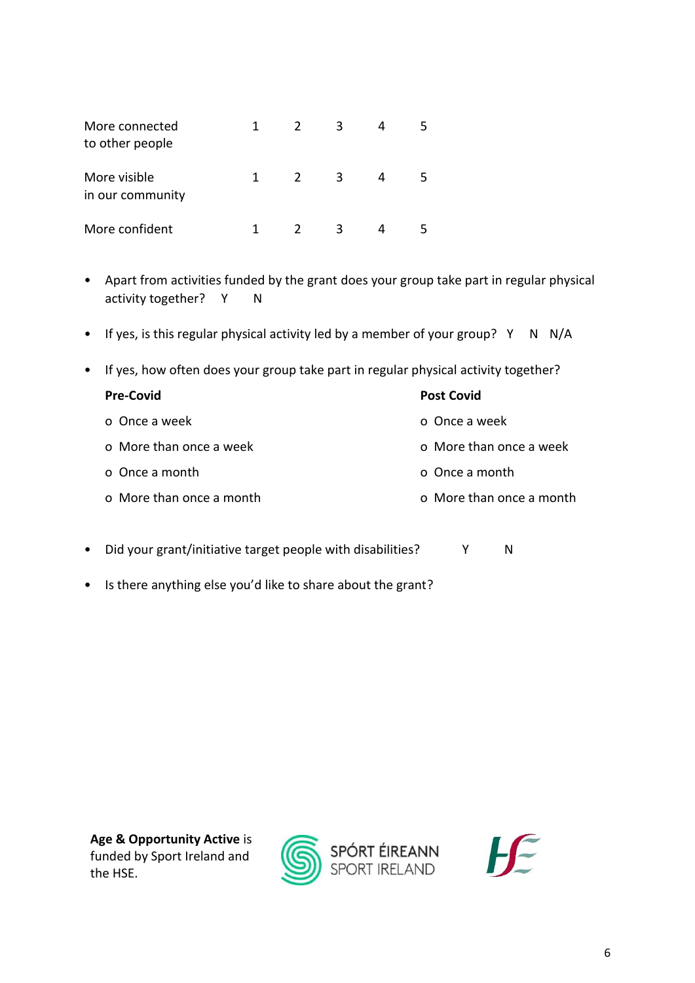| More connected<br>to other people | 1. | $\mathcal{L}$ | ς |  |
|-----------------------------------|----|---------------|---|--|
| More visible<br>in our community  | 1. | $\mathcal{L}$ | 3 |  |
| More confident                    |    |               | ς |  |

- Apart from activities funded by the grant does your group take part in regular physical activity together? Y N
- If yes, is this regular physical activity led by a member of your group? Y N N/A
- If yes, how often does your group take part in regular physical activity together?

| <b>Post Covid</b>        |
|--------------------------|
| o. Once a week           |
| o More than once a week  |
| o Once a month           |
| o More than once a month |
|                          |

- Did your grant/initiative target people with disabilities? Y N
- Is there anything else you'd like to share about the grant?



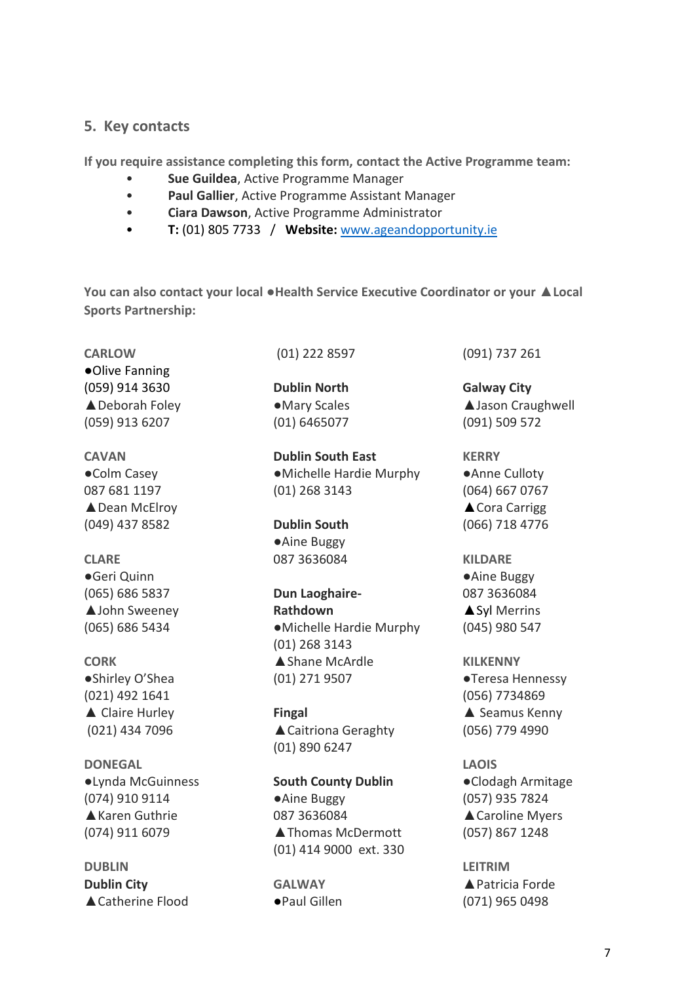### **5. Key contacts**

**If you require assistance completing this form, contact the Active Programme team:** 

- **Sue Guildea**, Active Programme Manager
- **Paul Gallier**, Active Programme Assistant Manager
- **Ciara Dawson**, Active Programme Administrator
- **T:** (01) 805 7733 / **Website:** [www.ageandopportunity.ie](http://www.ageandopportunity.ie/)

**You can also contact your local ●Health Service Executive Coordinator or your ▲Local Sports Partnership:**

**CARLOW ●**Olive Fanning (059) 914 3630 ▲Deborah Foley (059) 913 6207

**CAVAN** ●Colm Casey 087 681 1197 ▲Dean McElroy (049) 437 8582

# **CLARE**

●Geri Quinn (065) 686 5837 ▲John Sweeney (065) 686 5434

**CORK** ●Shirley O'Shea (021) 492 1641 **▲** Claire Hurley (021) 434 7096

**DONEGAL**  ●Lynda McGuinness (074) 910 9114 ▲Karen Guthrie (074) 911 6079

**DUBLIN Dublin City** ▲ Catherine Flood (01) 222 8597

**Dublin North** ●Mary Scales (01) 6465077

**Dublin South East ●**Michelle Hardie Murphy (01) 268 3143

**Dublin South ●**Aine Buggy 087 3636084

**Dun Laoghaire-Rathdown ●**Michelle Hardie Murphy (01) 268 3143 **▲**Shane McArdle (01) 271 9507

**Fingal ▲**Caitriona Geraghty (01) 890 6247

**South County Dublin ●**Aine Buggy 087 3636084 **▲**Thomas McDermott (01) 414 9000 ext. 330

**GALWAY ●**Paul Gillen (091) 737 261

**Galway City ▲**Jason Craughwell (091) 509 572

**KERRY** ●Anne Culloty (064) 667 0767 **▲**Cora Carrigg (066) 718 4776

**KILDARE ●**Aine Buggy 087 3636084 **▲**Syl Merrins (045) 980 547

**KILKENNY** ●Teresa Hennessy (056) 7734869 ▲ Seamus Kenny (056) 779 4990

**LAOIS**  ●Clodagh Armitage (057) 935 7824 ▲ Caroline Myers (057) 867 1248

**LEITRIM**  ▲ Patricia Forde (071) 965 0498